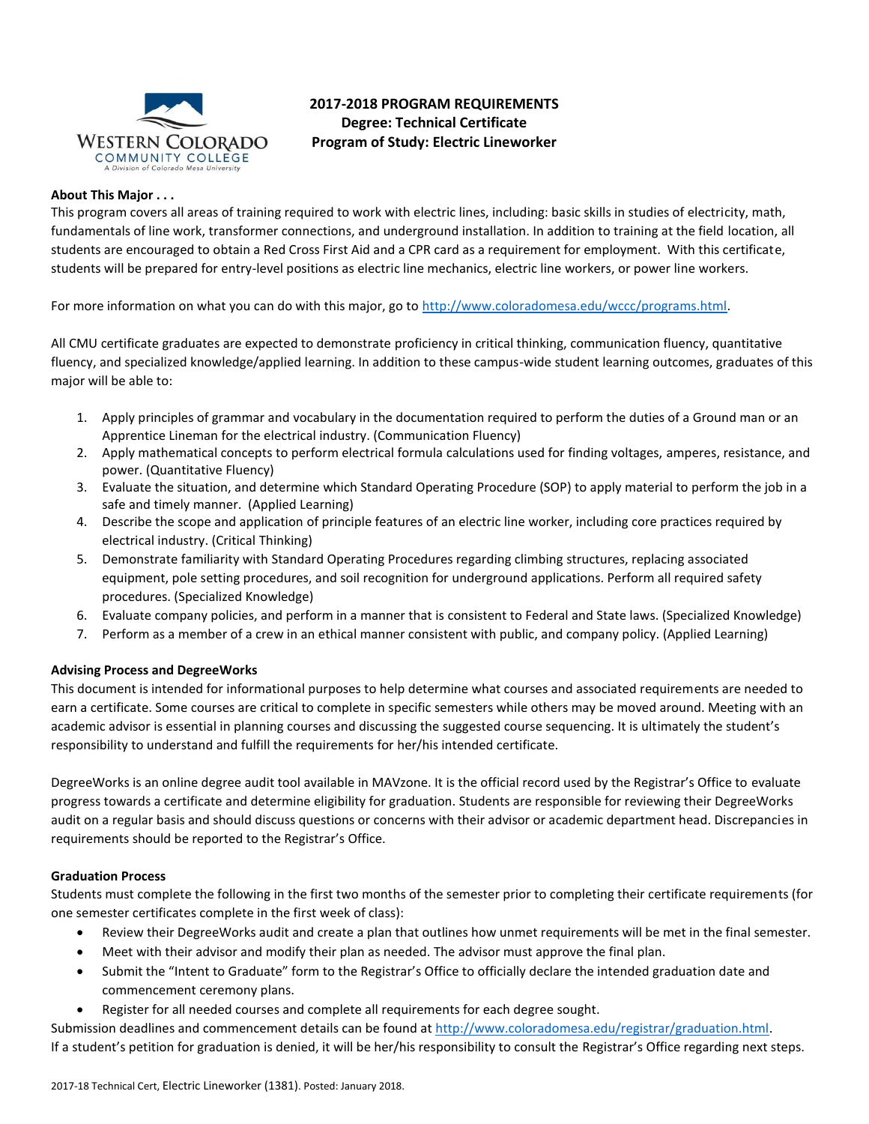

# **2017-2018 PROGRAM REQUIREMENTS Degree: Technical Certificate Program of Study: Electric Lineworker**

## **About This Major . . .**

This program covers all areas of training required to work with electric lines, including: basic skills in studies of electricity, math, fundamentals of line work, transformer connections, and underground installation. In addition to training at the field location, all students are encouraged to obtain a Red Cross First Aid and a CPR card as a requirement for employment. With this certificate, students will be prepared for entry-level positions as electric line mechanics, electric line workers, or power line workers.

For more information on what you can do with this major, go to [http://www.coloradomesa.edu/wccc/programs.html.](http://www.coloradomesa.edu/wccc/programs.html)

All CMU certificate graduates are expected to demonstrate proficiency in critical thinking, communication fluency, quantitative fluency, and specialized knowledge/applied learning. In addition to these campus-wide student learning outcomes, graduates of this major will be able to:

- 1. Apply principles of grammar and vocabulary in the documentation required to perform the duties of a Ground man or an Apprentice Lineman for the electrical industry. (Communication Fluency)
- 2. Apply mathematical concepts to perform electrical formula calculations used for finding voltages, amperes, resistance, and power. (Quantitative Fluency)
- 3. Evaluate the situation, and determine which Standard Operating Procedure (SOP) to apply material to perform the job in a safe and timely manner. (Applied Learning)
- 4. Describe the scope and application of principle features of an electric line worker, including core practices required by electrical industry. (Critical Thinking)
- 5. Demonstrate familiarity with Standard Operating Procedures regarding climbing structures, replacing associated equipment, pole setting procedures, and soil recognition for underground applications. Perform all required safety procedures. (Specialized Knowledge)
- 6. Evaluate company policies, and perform in a manner that is consistent to Federal and State laws. (Specialized Knowledge)
- 7. Perform as a member of a crew in an ethical manner consistent with public, and company policy. (Applied Learning)

# **Advising Process and DegreeWorks**

This document is intended for informational purposes to help determine what courses and associated requirements are needed to earn a certificate. Some courses are critical to complete in specific semesters while others may be moved around. Meeting with an academic advisor is essential in planning courses and discussing the suggested course sequencing. It is ultimately the student's responsibility to understand and fulfill the requirements for her/his intended certificate.

DegreeWorks is an online degree audit tool available in MAVzone. It is the official record used by the Registrar's Office to evaluate progress towards a certificate and determine eligibility for graduation. Students are responsible for reviewing their DegreeWorks audit on a regular basis and should discuss questions or concerns with their advisor or academic department head. Discrepancies in requirements should be reported to the Registrar's Office.

# **Graduation Process**

Students must complete the following in the first two months of the semester prior to completing their certificate requirements (for one semester certificates complete in the first week of class):

- Review their DegreeWorks audit and create a plan that outlines how unmet requirements will be met in the final semester.
- Meet with their advisor and modify their plan as needed. The advisor must approve the final plan.
- Submit the "Intent to Graduate" form to the Registrar's Office to officially declare the intended graduation date and commencement ceremony plans.
- Register for all needed courses and complete all requirements for each degree sought.

Submission deadlines and commencement details can be found at [http://www.coloradomesa.edu/registrar/graduation.html.](http://www.coloradomesa.edu/registrar/graduation.html) If a student's petition for graduation is denied, it will be her/his responsibility to consult the Registrar's Office regarding next steps.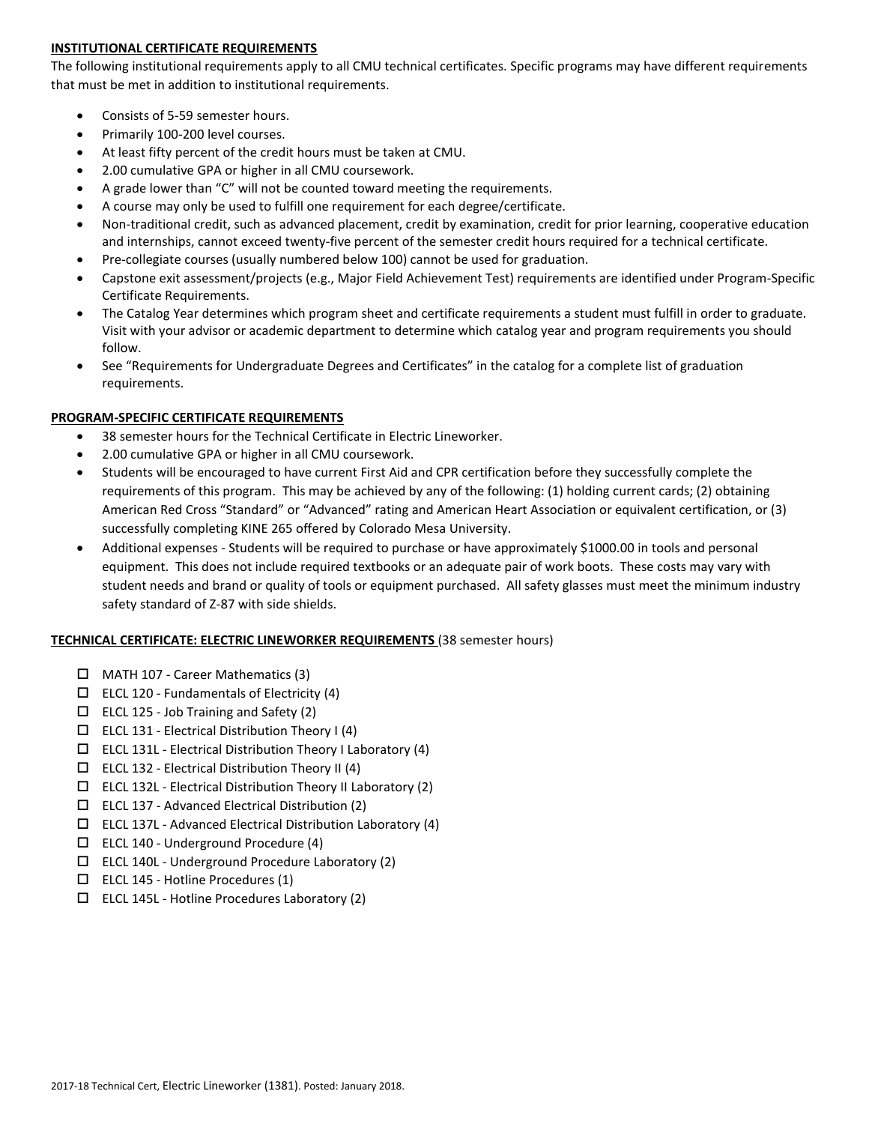# **INSTITUTIONAL CERTIFICATE REQUIREMENTS**

The following institutional requirements apply to all CMU technical certificates. Specific programs may have different requirements that must be met in addition to institutional requirements.

- Consists of 5-59 semester hours.
- Primarily 100-200 level courses.
- At least fifty percent of the credit hours must be taken at CMU.
- 2.00 cumulative GPA or higher in all CMU coursework.
- A grade lower than "C" will not be counted toward meeting the requirements.
- A course may only be used to fulfill one requirement for each degree/certificate.
- Non-traditional credit, such as advanced placement, credit by examination, credit for prior learning, cooperative education and internships, cannot exceed twenty-five percent of the semester credit hours required for a technical certificate.
- Pre-collegiate courses (usually numbered below 100) cannot be used for graduation.
- Capstone exit assessment/projects (e.g., Major Field Achievement Test) requirements are identified under Program-Specific Certificate Requirements.
- The Catalog Year determines which program sheet and certificate requirements a student must fulfill in order to graduate. Visit with your advisor or academic department to determine which catalog year and program requirements you should follow.
- See "Requirements for Undergraduate Degrees and Certificates" in the catalog for a complete list of graduation requirements.

# **PROGRAM-SPECIFIC CERTIFICATE REQUIREMENTS**

- 38 semester hours for the Technical Certificate in Electric Lineworker.
- 2.00 cumulative GPA or higher in all CMU coursework.
- Students will be encouraged to have current First Aid and CPR certification before they successfully complete the requirements of this program. This may be achieved by any of the following: (1) holding current cards; (2) obtaining American Red Cross "Standard" or "Advanced" rating and American Heart Association or equivalent certification, or (3) successfully completing KINE 265 offered by Colorado Mesa University.
- Additional expenses Students will be required to purchase or have approximately \$1000.00 in tools and personal equipment. This does not include required textbooks or an adequate pair of work boots. These costs may vary with student needs and brand or quality of tools or equipment purchased. All safety glasses must meet the minimum industry safety standard of Z-87 with side shields.

# **TECHNICAL CERTIFICATE: ELECTRIC LINEWORKER REQUIREMENTS** (38 semester hours)

- $\Box$  MATH 107 Career Mathematics (3)
- $\Box$  ELCL 120 Fundamentals of Electricity (4)
- $\Box$  ELCL 125 Job Training and Safety (2)
- $\square$  ELCL 131 Electrical Distribution Theory I (4)
- $\Box$  ELCL 131L Electrical Distribution Theory I Laboratory (4)
- $\square$  ELCL 132 Electrical Distribution Theory II (4)
- $\square$  ELCL 132L Electrical Distribution Theory II Laboratory (2)
- $\Box$  ELCL 137 Advanced Electrical Distribution (2)
- $\Box$  ELCL 137L Advanced Electrical Distribution Laboratory (4)
- $\Box$  ELCL 140 Underground Procedure (4)
- $\Box$  ELCL 140L Underground Procedure Laboratory (2)
- $\Box$  ELCL 145 Hotline Procedures (1)
- $\Box$  ELCL 145L Hotline Procedures Laboratory (2)